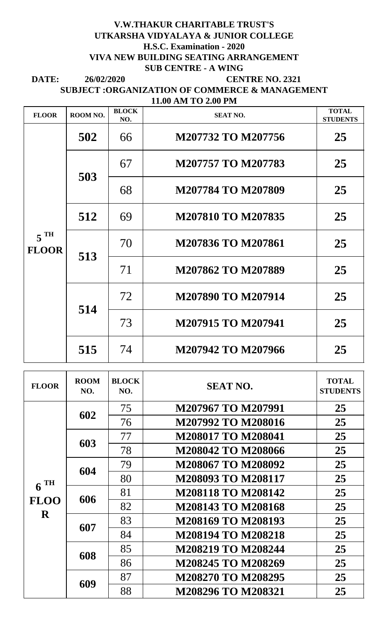## **V.W.THAKUR CHARITABLE TRUST'S UTKARSHA VIDYALAYA & JUNIOR COLLEGE H.S.C. Examination - 2020 VIVA NEW BUILDING SEATING ARRANGEMENT SUB CENTRE - A WING**

**DATE: CENTRE NO. 2321 26/02/2020 11.00 AM TO 2.00 PM SUBJECT :ORGANIZATION OF COMMERCE & MANAGEMENT**

| <b>FLOOR</b>                      | ROOM NO. | <b>BLOCK</b><br>NO. | <b>SEAT NO.</b>           | <b>TOTAL</b><br><b>STUDENTS</b> |
|-----------------------------------|----------|---------------------|---------------------------|---------------------------------|
| $5$ <sup>TH</sup><br><b>FLOOR</b> | 502      | 66                  | M207732 TO M207756        | 25                              |
|                                   | 503      | 67                  | M207757 TO M207783        | 25                              |
|                                   |          | 68                  | M207784 TO M207809        | 25                              |
|                                   | 512      | 69                  | <b>M207810 TO M207835</b> | 25                              |
|                                   | 513      | 70                  | M207836 TO M207861        | 25                              |
|                                   |          | 71                  | M207862 TO M207889        | 25                              |
|                                   | 514      | 72                  | M207890 TO M207914        | 25                              |
|                                   |          | 73                  | M207915 TO M207941        | 25                              |
|                                   | 515      | 74                  | M207942 TO M207966        | 25                              |

| <b>FLOOR</b>                          | <b>ROOM</b><br>NO. | <b>BLOCK</b><br>NO. | <b>SEAT NO.</b>           | <b>TOTAL</b><br><b>STUDENTS</b> |
|---------------------------------------|--------------------|---------------------|---------------------------|---------------------------------|
| $6$ <sup>TH</sup><br><b>FLOO</b><br>R | 602                | 75                  | M207967 TO M207991        | 25                              |
|                                       |                    | 76                  | M207992 TO M208016        | 25                              |
|                                       | 603                | 77                  | <b>M208017 TO M208041</b> | 25                              |
|                                       |                    | 78                  | <b>M208042 TO M208066</b> | 25                              |
|                                       | 604                | 79                  | M208067 TO M208092        | 25                              |
|                                       |                    | 80                  | M208093 TO M208117        | 25                              |
|                                       | 606                | 81                  | <b>M208118 TO M208142</b> | 25                              |
|                                       |                    | 82                  | <b>M208143 TO M208168</b> | 25                              |
|                                       | 607                | 83                  | M208169 TO M208193        | 25                              |
|                                       |                    | 84                  | <b>M208194 TO M208218</b> | 25                              |
|                                       | 608                | 85                  | <b>M208219 TO M208244</b> | 25                              |
|                                       |                    | 86                  | M208245 TO M208269        | 25                              |
|                                       | 609                | 87                  | M208270 TO M208295        | 25                              |
|                                       |                    | 88                  | M208296 TO M208321        | 25                              |